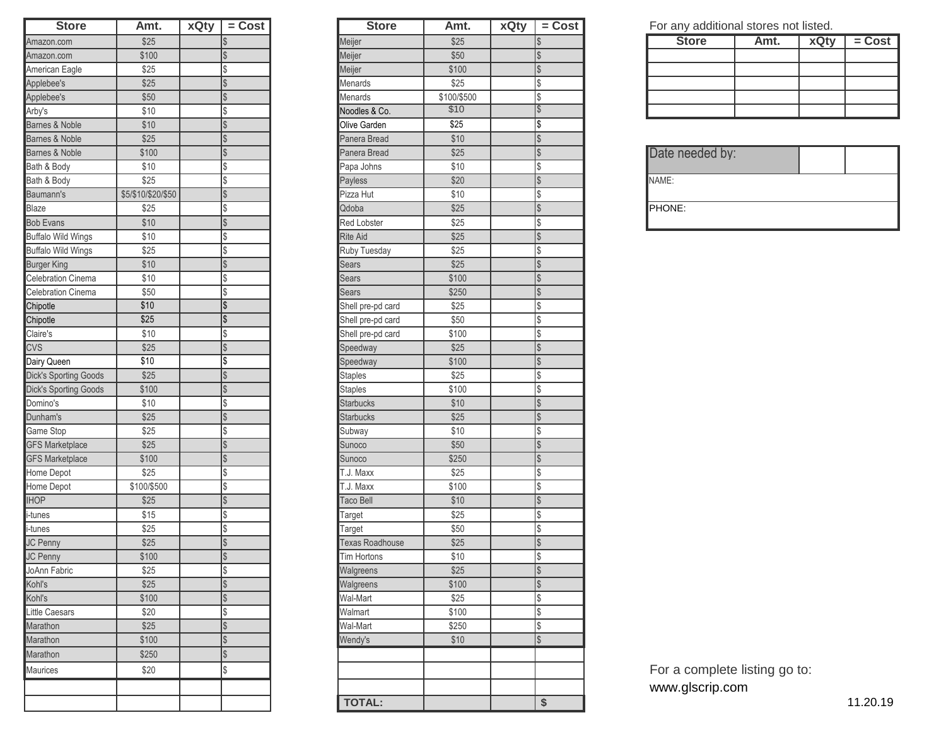| <b>Store</b>                 | Amt.               | <b>xQty</b> | $=$ Cost | <b>Store</b>           | Amt.        | xQty                     |
|------------------------------|--------------------|-------------|----------|------------------------|-------------|--------------------------|
| Amazon.com                   | \$25               |             | \$       | Meijer                 | \$25        | \$                       |
| Amazon.com                   | \$100              |             | \$       | Meijer                 | \$50        | \$                       |
| American Eagle               | \$25               |             | \$       | Meijer                 | \$100       | \$                       |
| Applebee's                   | \$25               |             | \$       | Menards                | \$25        | $\overline{\$}$          |
| Applebee's                   | \$50               |             | \$       | Menards                | \$100/\$500 | $\frac{1}{2}$            |
| Arby's                       | \$10               |             | \$       | Noodles & Co.          | \$10        | $\sqrt{3}$               |
| <b>Barnes &amp; Noble</b>    | \$10               |             | \$       | Olive Garden           | \$25        | \$                       |
| Barnes & Noble               | \$25               |             | \$       | Panera Bread           | \$10        | \$                       |
| Barnes & Noble               | \$100              |             | \$       | Panera Bread           | \$25        | \$                       |
| Bath & Body                  | \$10               |             | \$       | Papa Johns             | \$10        | $\overline{\$}$          |
| Bath & Body                  | \$25               |             | \$       | Payless                | \$20        | $\sqrt{3}$               |
| Baumann's                    | \$5/\$10/\$20/\$50 |             | \$       | Pizza Hut              | \$10        | \$                       |
| Blaze                        | \$25               |             | \$       | Qdoba                  | \$25        | $\frac{1}{2}$            |
| <b>Bob Evans</b>             | \$10               |             | \$       | <b>Red Lobster</b>     | \$25        | $\frac{1}{2}$            |
| Buffalo Wild Wings           | \$10               |             | \$       | <b>Rite Aid</b>        | \$25        | $\frac{1}{2}$            |
| <b>Buffalo Wild Wings</b>    | \$25               |             | \$       | Ruby Tuesday           | \$25        | $\frac{1}{2}$            |
| <b>Burger King</b>           | \$10               |             | \$       | Sears                  | \$25        | $\sqrt{ }$               |
| Celebration Cinema           | \$10               |             | \$       | <b>Sears</b>           | \$100       | $\sqrt{ }$               |
| <b>Celebration Cinema</b>    | \$50               |             | \$       | Sears                  | \$250       | s                        |
| Chipotle                     | \$10               |             | \$       | Shell pre-pd card      | \$25        | $\frac{1}{2}$            |
| Chipotle                     | \$25               |             | \$       | Shell pre-pd card      | \$50        | $\overline{\$}$          |
| Claire's                     | \$10               |             | \$       | Shell pre-pd card      | \$100       | $\frac{1}{2}$            |
| <b>CVS</b>                   | \$25               |             | \$       | Speedway               | \$25        | $\sqrt{3}$               |
| Dairy Queen                  | \$10               |             | \$       | Speedway               | \$100       | $\frac{1}{2}$            |
| <b>Dick's Sporting Goods</b> | \$25               |             | \$       | <b>Staples</b>         | \$25        | $\frac{1}{2}$            |
| <b>Dick's Sporting Goods</b> | \$100              |             | \$       | <b>Staples</b>         | \$100       | $\frac{1}{2}$            |
| Domino's                     | \$10               |             | \$       | <b>Starbucks</b>       | \$10        | s                        |
| Dunham's                     | \$25               |             | \$       | <b>Starbucks</b>       | \$25        | $\sqrt{3}$               |
| Game Stop                    | \$25               |             | \$       | Subway                 | \$10        | \$                       |
| <b>GFS Marketplace</b>       | \$25               |             | \$       | Sunoco                 | \$50        | $\frac{1}{2}$            |
| <b>GFS Marketplace</b>       | \$100              |             | \$       | Sunoco                 | \$250       | $\frac{1}{2}$            |
| Home Depot                   | \$25               |             | \$       | T.J. Maxx              | \$25        | $\frac{1}{2}$            |
| Home Depot                   | \$100/\$500        |             | \$       | T.J. Maxx              | \$100       | $\frac{1}{2}$            |
| <b>IHOP</b>                  | \$25               |             | \$       | <b>Taco Bell</b>       | \$10        | \$                       |
| -tunes                       | \$15               |             | \$       | Target                 | \$25        | \$                       |
| i-tunes                      | \$25               |             | \$       | Target                 | \$50        | $\overline{\mathcal{S}}$ |
| JC Penny                     | \$25               |             | \$       | <b>Texas Roadhouse</b> | \$25        | $\sqrt{3}$               |
| JC Penny                     | \$100              |             | \$       | Tim Hortons            | \$10        | $\overline{S}$           |
| JoAnn Fabric                 | \$25               |             | \$       | Walgreens              | \$25        | $\sqrt{ }$               |
| Kohl's                       | \$25               |             | \$       | Walgreens              | \$100       | $\sqrt{3}$               |
| Kohl's                       | \$100              |             | \$       | Wal-Mart               | \$25        | $\frac{1}{2}$            |
| Little Caesars               | \$20               |             | \$       | Walmart                | \$100       | $\overline{\mathcal{S}}$ |
| Marathon                     | \$25               |             | \$       | Wal-Mart               | \$250       | <b>S</b>                 |
| Marathon                     | \$100              |             | \$       | Wendy's                | \$10        | $\overline{\$}$          |
| Marathon                     | \$250              |             | \$       |                        |             |                          |
| <b>Maurices</b>              | \$20               |             | \$       |                        |             |                          |
|                              |                    |             |          | TOTAL:                 |             |                          |

| <b>Store</b>              | Amt.               | xQty | $=$ Cost | <b>Store</b>           | Amt.        | xQty | $=$ Cost | For any additional stores not listed. |              |          |
|---------------------------|--------------------|------|----------|------------------------|-------------|------|----------|---------------------------------------|--------------|----------|
| Amazon.com                | \$25               |      |          | Meijer                 | \$25        |      |          | <b>Store</b>                          | Amt.<br>xQty | $=$ Cost |
| Amazon.com                | \$100              |      |          | Meijer                 | \$50        |      | I\$      |                                       |              |          |
| American Eagle            | \$25               |      |          | Meijer                 | \$100       |      | l\$      |                                       |              |          |
| Applebee's                | \$25               |      |          | Menards                | \$25        |      | l\$      |                                       |              |          |
| Applebee's                | \$50               |      |          | Menards                | \$100/\$500 |      | I\$      |                                       |              |          |
| Arby's                    | \$10               |      |          | Noodles & Co.          | \$10        |      | IS.      |                                       |              |          |
| Barnes & Noble            | \$10               |      |          | Olive Garden           | \$25        |      | I\$      |                                       |              |          |
| <b>Barnes &amp; Noble</b> | \$25               |      |          | Panera Bread           | \$10        |      | l\$      |                                       |              |          |
| Barnes & Noble            | \$100              |      |          | Panera Bread           | \$25        |      | l\$      | Date needed by:                       |              |          |
| Bath & Body               | \$10               |      |          | Papa Johns             | \$10        |      | l\$      |                                       |              |          |
| Bath & Body               | \$25               |      |          | Payless                | \$20        |      | l\$      | NAME:                                 |              |          |
| Baumann's                 | \$5/\$10/\$20/\$50 |      |          | Pizza Hut              | \$10        |      | l\$      |                                       |              |          |
| Blaze                     | \$25               |      |          | Qdoba                  | \$25        |      | l\$      | PHONE:                                |              |          |
| <b>Bob Evans</b>          | \$10               |      |          | Red Lobster            | \$25        |      | I\$      |                                       |              |          |
| <b>Buffalo Wild Wings</b> | \$10               |      |          | Rite Aid               | \$25        |      | l\$      |                                       |              |          |
| <b>Buffalo Wild Wings</b> | \$25               |      |          | Ruby Tuesday           | \$25        |      | I\$      |                                       |              |          |
| Burger King               | \$10               |      |          | <b>Sears</b>           | \$25        |      | I\$      |                                       |              |          |
| Celebration Cinema        | \$10               |      |          | <b>Sears</b>           | \$100       |      | l\$      |                                       |              |          |
| Celebration Cinema        | \$50               |      |          | Sears                  | \$250       |      | l\$      |                                       |              |          |
| Chipotle                  | \$10               |      |          | Shell pre-pd card      | \$25        |      | l\$      |                                       |              |          |
| Chipotle                  | $\overline{$25}$   |      |          | Shell pre-pd card      | \$50        |      | l\$      |                                       |              |          |
| Claire's                  | \$10               |      |          | Shell pre-pd card      | \$100       |      | l\$      |                                       |              |          |
| <b>CVS</b>                | \$25               |      |          | Speedway               | \$25        |      | l\$      |                                       |              |          |
| Dairy Queen               | \$10               |      |          | Speedway               | \$100       |      | I\$      |                                       |              |          |
| Dick's Sporting Goods     | \$25               |      |          | <b>Staples</b>         | \$25        |      | l\$      |                                       |              |          |
| Dick's Sporting Goods     | \$100              |      |          | <b>Staples</b>         | \$100       |      | l\$      |                                       |              |          |
| Domino's                  | \$10               |      |          | <b>Starbucks</b>       | \$10        |      | l\$      |                                       |              |          |
| Dunham's                  | \$25               |      |          | Starbucks              | \$25        |      | l\$      |                                       |              |          |
| Game Stop                 | \$25               |      |          | Subway                 | \$10        |      | l\$      |                                       |              |          |
| <b>GFS Marketplace</b>    | \$25               |      |          | Sunoco                 | \$50        |      | l\$      |                                       |              |          |
| <b>GFS Marketplace</b>    | \$100              |      |          | Sunoco                 | \$250       |      | l\$      |                                       |              |          |
| Home Depot                | \$25               |      |          | T.J. Maxx              | \$25        |      | I\$      |                                       |              |          |
| Home Depot                | \$100/\$500        |      |          | T.J. Maxx              | \$100       |      | l\$      |                                       |              |          |
| <b>IHOP</b>               | \$25               |      |          | Taco Bell              | \$10        |      | l\$      |                                       |              |          |
| i-tunes                   | \$15               |      |          | Target                 | \$25        |      | I\$      |                                       |              |          |
| i-tunes                   | \$25               |      |          | Target                 | \$50        |      | I\$      |                                       |              |          |
| JC Penny                  | \$25               |      |          | <b>Texas Roadhouse</b> | \$25        |      | I\$      |                                       |              |          |
| JC Penny                  | \$100              |      |          | <b>Tim Hortons</b>     | \$10        |      | IФ       |                                       |              |          |
| JoAnn Fabric              | \$25               |      |          | Walgreens              | \$25        |      | l\$      |                                       |              |          |
| Kohl's                    | \$25               |      |          | Walgreens              | \$100       |      | l\$      |                                       |              |          |
| Kohl's                    | \$100              |      |          | Wal-Mart               | \$25        |      | I\$      |                                       |              |          |
| Little Caesars            | \$20               |      |          | Walmart                | \$100       |      | l\$      |                                       |              |          |
| Marathon                  | \$25               |      |          | Wal-Mart               | \$250       |      | I\$      |                                       |              |          |
| Marathon                  | \$100              |      |          | Wendy's                | \$10        |      | l\$      |                                       |              |          |
| Marathon                  | \$250              |      |          |                        |             |      |          |                                       |              |          |
| Maurices                  | \$20               |      |          |                        |             |      |          | For a complete listing go to:         |              |          |
|                           |                    |      |          |                        |             |      |          | www.glscrip.com                       |              |          |
|                           |                    |      |          | <b>TOTAL:</b>          |             |      | \$       |                                       |              |          |
|                           |                    |      |          |                        |             |      |          |                                       |              | 11.20.19 |

## $For any additional stores not listed.$

| <b>Store</b> | Amt. | $xQty = Cost$ |
|--------------|------|---------------|
|              |      |               |
|              |      |               |
|              |      |               |
|              |      |               |
|              |      |               |

| Date needed by: |  |
|-----------------|--|
| NAME:           |  |
| PHONE:          |  |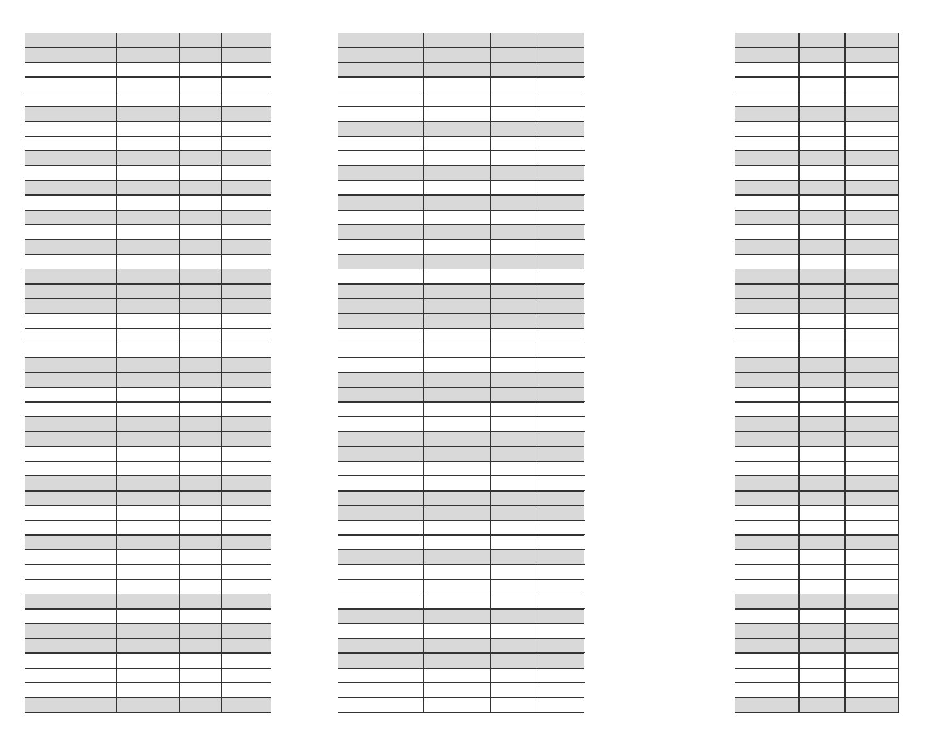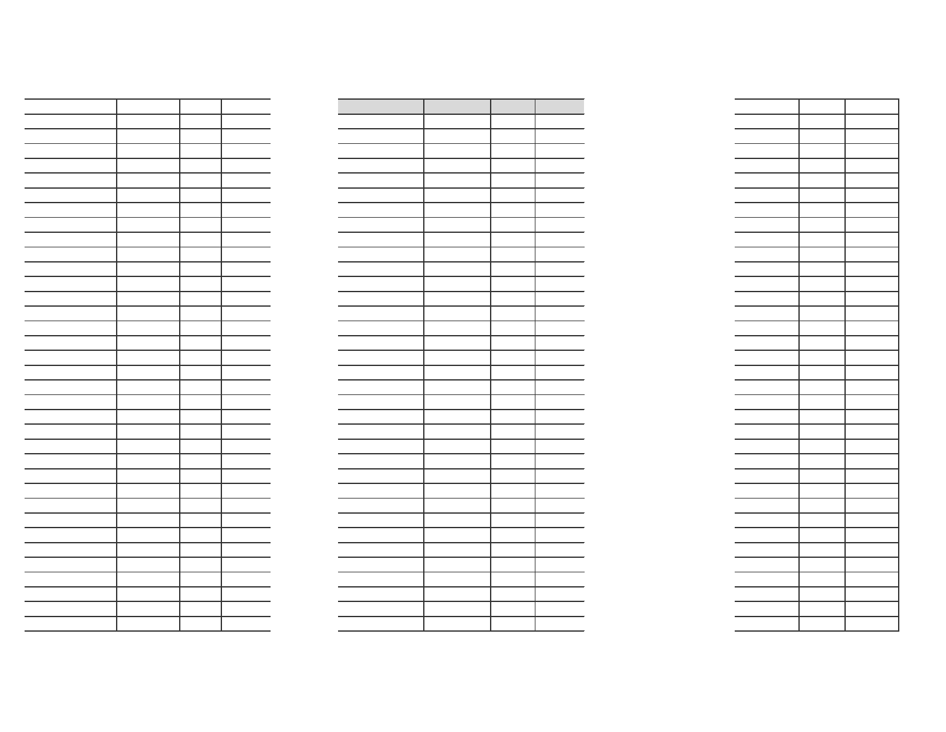

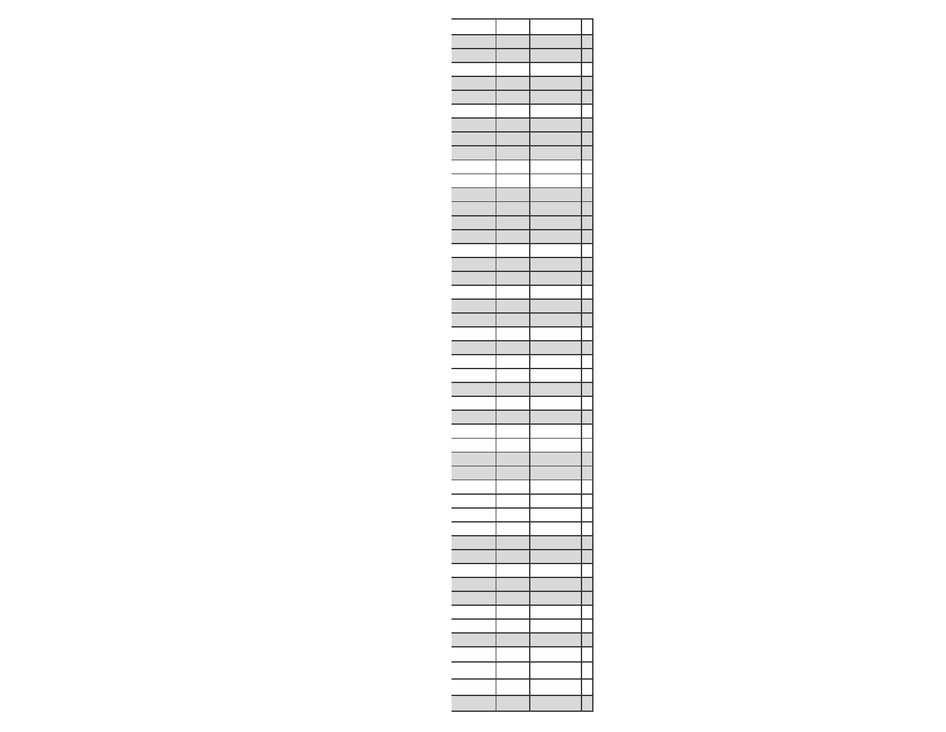